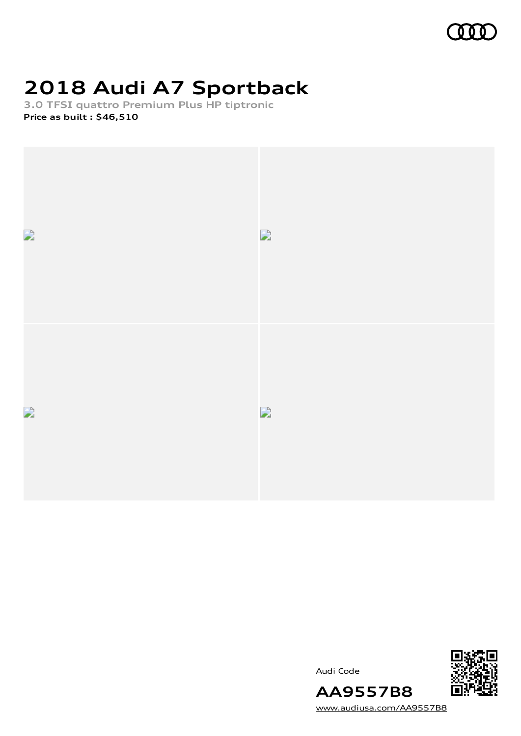

# **2018 Audi A7 Sportback**

**3.0 TFSI quattro Premium Plus HP tiptronic Price as built [:](#page-10-0) \$46,510**



Audi Code



[www.audiusa.com/AA9557B8](https://www.audiusa.com/AA9557B8)

**AA9557B8**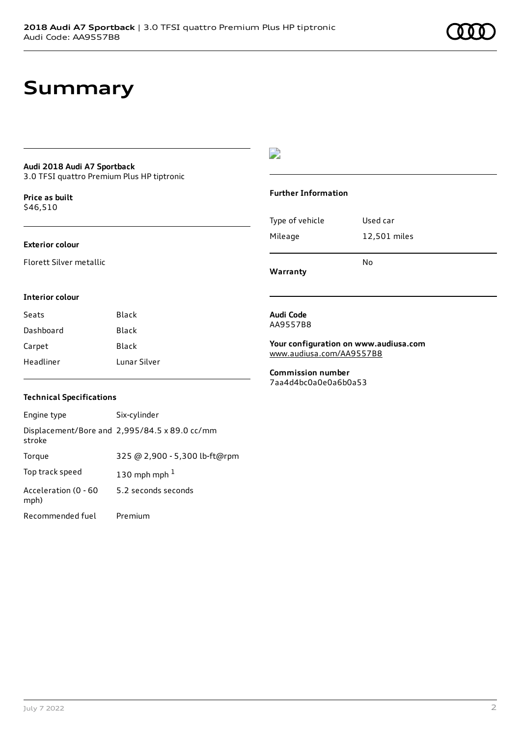## **Summary**

### **Audi 2018 Audi A7 Sportback**

3.0 TFSI quattro Premium Plus HP tiptronic

**Price as buil[t](#page-10-0)** \$46,510

### **Exterior colour**

Florett Silver metallic

### $\overline{\phantom{a}}$

### **Further Information**

|                 | N٥           |
|-----------------|--------------|
| Mileage         | 12,501 miles |
| Type of vehicle | Used car     |

**Warranty**

### **Interior colour**

| Seats     | Black        |
|-----------|--------------|
| Dashboard | Black        |
| Carpet    | Black        |
| Headliner | Lunar Silver |

### AA9557B8

**Audi Code**

**Your configuration on www.audiusa.com** [www.audiusa.com/AA9557B8](https://www.audiusa.com/AA9557B8)

**Commission number** 7aa4d4bc0a0e0a6b0a53

### **Technical Specifications**

| Engine type                  | Six-cylinder                                  |
|------------------------------|-----------------------------------------------|
| stroke                       | Displacement/Bore and 2,995/84.5 x 89.0 cc/mm |
| Torque                       | 325 @ 2,900 - 5,300 lb-ft@rpm                 |
| Top track speed              | 130 mph mph $1$                               |
| Acceleration (0 - 60<br>mph) | 5.2 seconds seconds                           |
| Recommended fuel             | Premium                                       |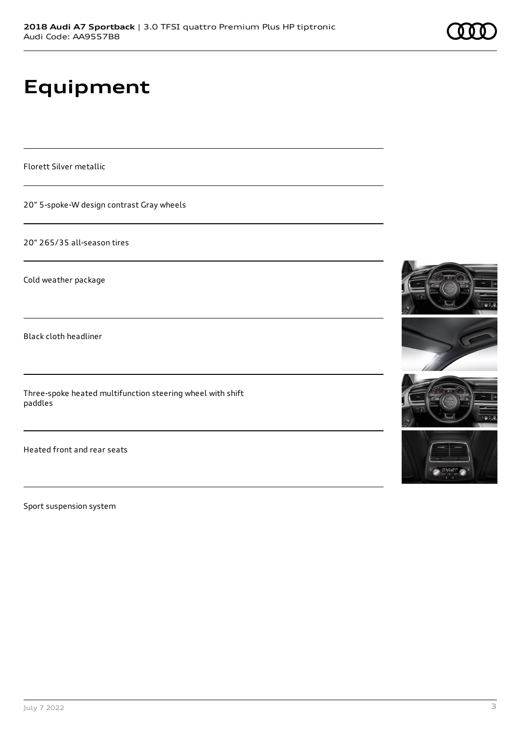# **Equipment**

Florett Silver metallic

20" 5-spoke-W design contrast Gray wheels

20" 265/35 all-season tires

Cold weather package

Black cloth headliner

Three-spoke heated multifunction steering wheel with shift paddles

Heated front and rear seats

Sport suspension system







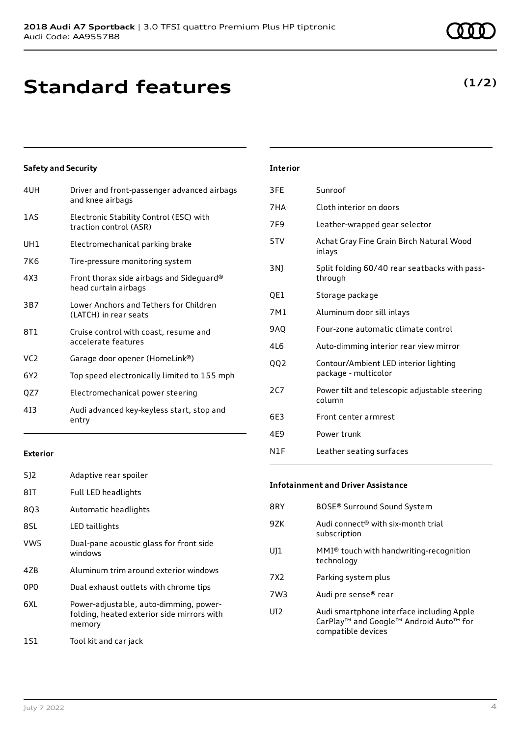# **Standard features**

### **Safety and Security**

| 4UH             | Driver and front-passenger advanced airbags<br>and knee airbags   |
|-----------------|-------------------------------------------------------------------|
| 1AS             | Electronic Stability Control (ESC) with<br>traction control (ASR) |
| UH1             | Electromechanical parking brake                                   |
| 7K6             | Tire-pressure monitoring system                                   |
| 4X3             | Front thorax side airbags and Sideguard®<br>head curtain airbags  |
| 3B7             | Lower Anchors and Tethers for Children<br>(LATCH) in rear seats   |
| 8T1             | Cruise control with coast, resume and<br>accelerate features      |
| VC <sub>2</sub> | Garage door opener (HomeLink®)                                    |
| 6Y <sub>2</sub> | Top speed electronically limited to 155 mph                       |
| QZ7             | Electromechanical power steering                                  |
| 413             | Audi advanced key-keyless start, stop and<br>entry                |

| 7F9        | Leather-wrapped gear selector                                 |
|------------|---------------------------------------------------------------|
| 5TV        | Achat Gray Fine Grain Birch Natural Wood<br>inlays            |
| 3N)        | Split folding 60/40 rear seatbacks with pass-<br>through      |
| QE1        | Storage package                                               |
| 7M1        | Aluminum door sill inlays                                     |
| <b>9AQ</b> | Four-zone automatic climate control                           |
| 416        | Auto-dimming interior rear view mirror                        |
| 002        | Contour/Ambient LED interior lighting<br>package - multicolor |

**Interior**

3FE Sunroof

7HA Cloth interior on doors

### **Exterior**

| 5]2             | Adaptive rear spoiler                                                                          |
|-----------------|------------------------------------------------------------------------------------------------|
| 8IT             | Full LED headlights                                                                            |
| 8Q3             | Automatic headlights                                                                           |
| 8SL             | LED taillights                                                                                 |
| VW5             | Dual-pane acoustic glass for front side<br>windows                                             |
| 4ZB             | Aluminum trim around exterior windows                                                          |
| 0P <sub>0</sub> | Dual exhaust outlets with chrome tips                                                          |
| 6XL             | Power-adjustable, auto-dimming, power-<br>folding, heated exterior side mirrors with<br>memory |
| 151             | Tool kit and car jack                                                                          |

#### **Infotainment and Driver Assistance**

N1F Leather seating surfaces

column 6E3 Front center armrest

4E9 Power trunk

| 8RY             | BOSE® Surround Sound System                                                                               |
|-----------------|-----------------------------------------------------------------------------------------------------------|
| 9ZK             | Audi connect <sup>®</sup> with six-month trial<br>subscription                                            |
| UJ1             | MMI® touch with handwriting-recognition<br>technology                                                     |
| 7X2             | Parking system plus                                                                                       |
| 7W3             | Audi pre sense® rear                                                                                      |
| UI <sub>2</sub> | Audi smartphone interface including Apple<br>CarPlay™ and Google™ Android Auto™ for<br>compatible devices |

2C7 Power tilt and telescopic adjustable steering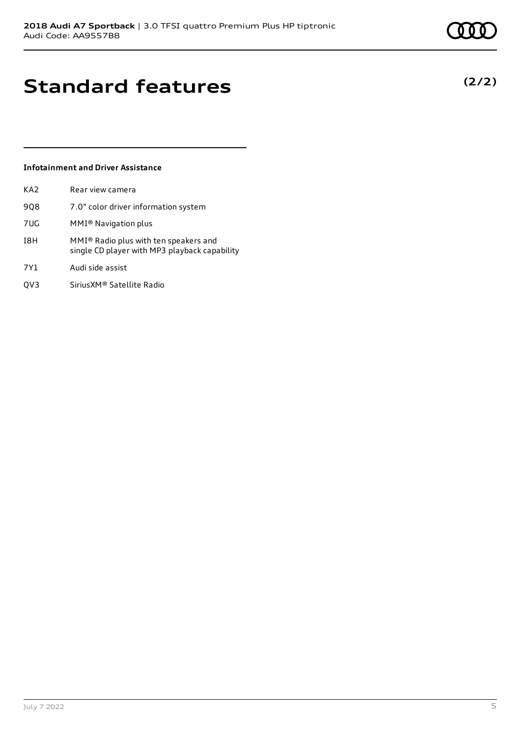# **Standard features**

### **Infotainment and Driver Assistance**

| KA <sub>2</sub> | Rear view camera                                                                       |
|-----------------|----------------------------------------------------------------------------------------|
| 908             | 7.0" color driver information system                                                   |
| 7UG             | MMI <sup>®</sup> Navigation plus                                                       |
| I8H             | MMI® Radio plus with ten speakers and<br>single CD player with MP3 playback capability |
| 7Y1             | Audi side assist                                                                       |
| OV3             | SiriusXM® Satellite Radio                                                              |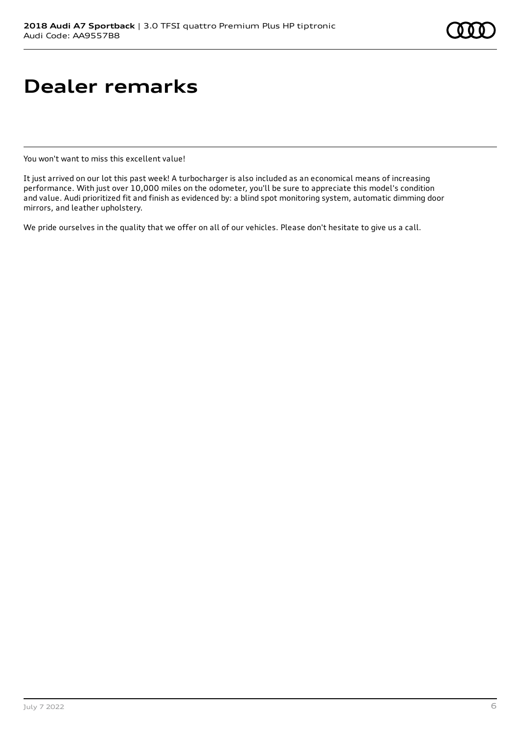# **Dealer remarks**

You won't want to miss this excellent value!

It just arrived on our lot this past week! A turbocharger is also included as an economical means of increasing performance. With just over 10,000 miles on the odometer, you'll be sure to appreciate this model's condition and value. Audi prioritized fit and finish as evidenced by: a blind spot monitoring system, automatic dimming door mirrors, and leather upholstery.

We pride ourselves in the quality that we offer on all of our vehicles. Please don't hesitate to give us a call.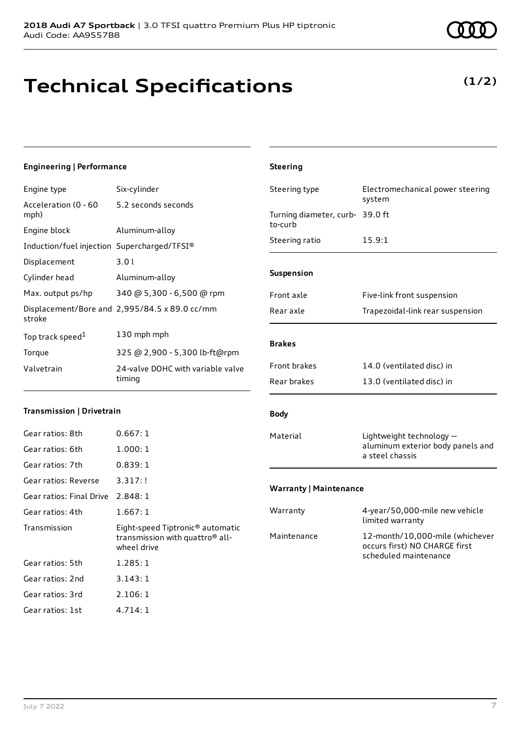# **Technical Specifications**

### **Engineering | Performance**

| Engine type                                 | Six-cylinder                                  |
|---------------------------------------------|-----------------------------------------------|
| Acceleration (0 - 60<br>mph)                | 5.2 seconds seconds                           |
| Engine block                                | Aluminum-alloy                                |
| Induction/fuel injection Supercharged/TFSI® |                                               |
| Displacement                                | 3.0l                                          |
| Cylinder head                               | Aluminum-alloy                                |
| Max. output ps/hp                           | 340 @ 5,300 - 6,500 @ rpm                     |
| stroke                                      | Displacement/Bore and 2,995/84.5 x 89.0 cc/mm |
| Top track speed <sup>1</sup>                | 130 mph mph                                   |
| Torque                                      | 325 @ 2,900 - 5,300 lb-ft@rpm                 |
| Valvetrain                                  | 24-valve DOHC with variable valve<br>timing   |

#### **Transmission | Drivetrain**

| Gear ratios: 8th                  | 0.667:1                                                                                                    |
|-----------------------------------|------------------------------------------------------------------------------------------------------------|
| Gear ratios: 6th                  | 1.000:1                                                                                                    |
| Gear ratios: 7th                  | 0.839:1                                                                                                    |
| Gear ratios: Reverse              | 3.317:!                                                                                                    |
| Gear ratios: Final Drive 2.848: 1 |                                                                                                            |
| Gear ratios: 4th                  | 1.667:1                                                                                                    |
|                                   |                                                                                                            |
| Transmission                      | Eight-speed Tiptronic <sup>®</sup> automatic<br>transmission with quattro <sup>®</sup> all-<br>wheel drive |
| Gear ratios: 5th                  | 1.285:1                                                                                                    |
| Gear ratios: 2nd                  | 3.143:1                                                                                                    |
| Gear ratios: 3rd                  | 2.106:1                                                                                                    |

# system Turning diameter, curb-39.0 ft to-curb Steering ratio 15.9:1 **Suspension** Front axle Five-link front suspension Rear axle Trapezoidal-link rear suspension **Brakes Body** Material Lightweight technology aluminum exterior body panels and

**Steering**

### **Warranty | Maintenance**

| Warranty    | 4-year/50,000-mile new vehicle<br>limited warranty                                        |
|-------------|-------------------------------------------------------------------------------------------|
| Maintenance | 12-month/10,000-mile (whichever<br>occurs first) NO CHARGE first<br>scheduled maintenance |

a steel chassis



**(1/2)**

| <b>Front brakes</b> | 14.0 (ventilated disc) in |
|---------------------|---------------------------|
| Rear brakes         | 13.0 (ventilated disc) in |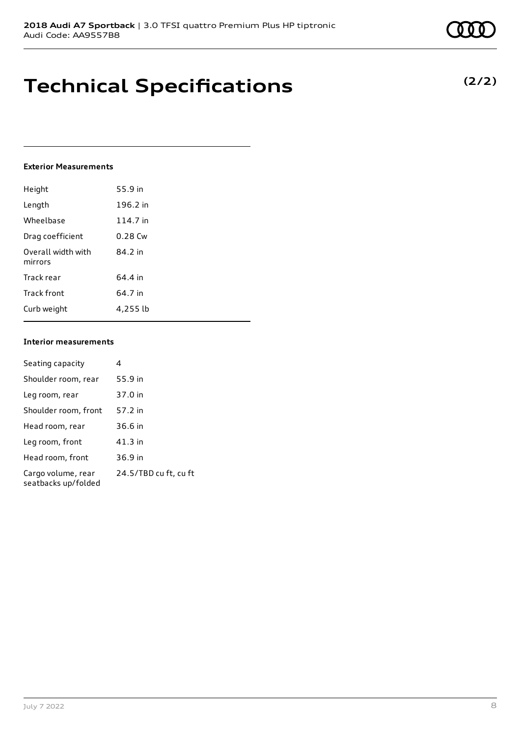# **Technical Specifications**

### **Exterior Measurements**

| Height                        | 55.9 in   |
|-------------------------------|-----------|
| Length                        | 196.2 in  |
| Wheelbase                     | 114.7 in  |
| Drag coefficient              | $0.28$ Cw |
| Overall width with<br>mirrors | 84.2 in   |
| Track rear                    | 64.4 in   |
| Track front                   | 64.7 in   |
| Curb weight                   | 4.255 lb  |

### **Interior measurements**

| Seating capacity                          | 4                     |
|-------------------------------------------|-----------------------|
| Shoulder room, rear                       | 55.9 in               |
| Leg room, rear                            | 37.0 in               |
| Shoulder room, front                      | 57.2 in               |
| Head room, rear                           | 36.6 in               |
| Leg room, front                           | 41.3 in               |
| Head room, front                          | 36.9 in               |
| Cargo volume, rear<br>seatbacks up/folded | 24.5/TBD cu ft, cu ft |

**(2/2)**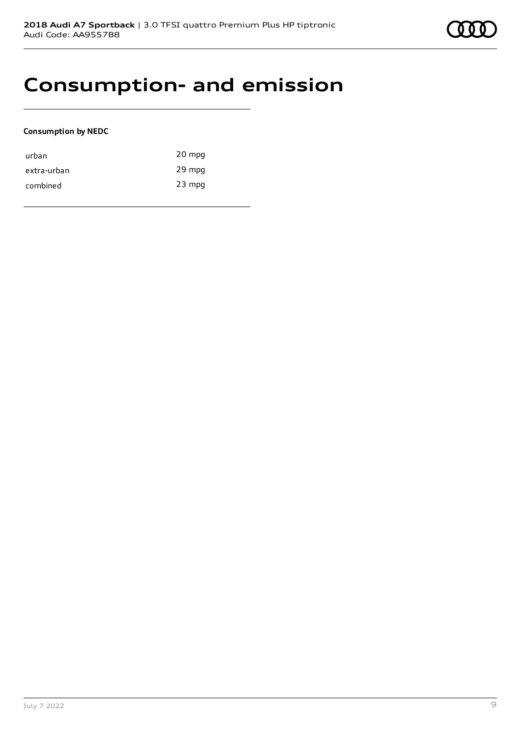### **Consumption- and emission**

### **Consumption by NEDC**

| urban       | 20 mpg   |
|-------------|----------|
| extra-urban | 29 mpg   |
| combined    | $23$ mpg |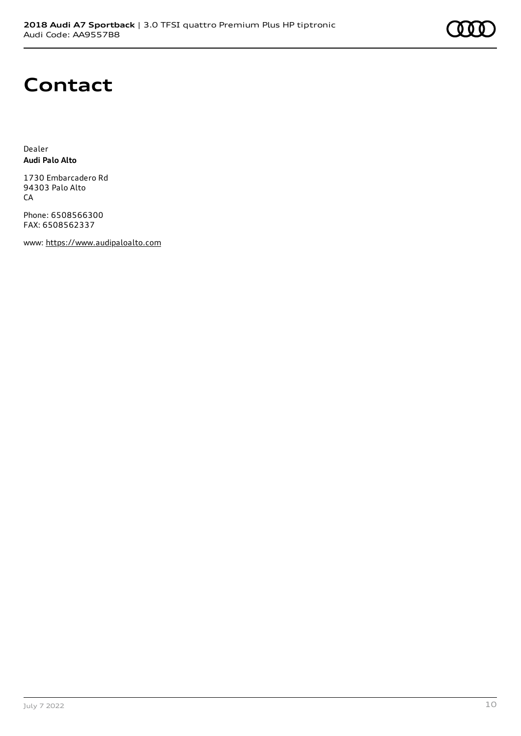## **Contact**

Dealer **Audi Palo Alto**

1730 Embarcadero Rd 94303 Palo Alto **CA** 

Phone: 6508566300 FAX: 6508562337

www: [https://www.audipaloalto.com](https://www.audipaloalto.com/)